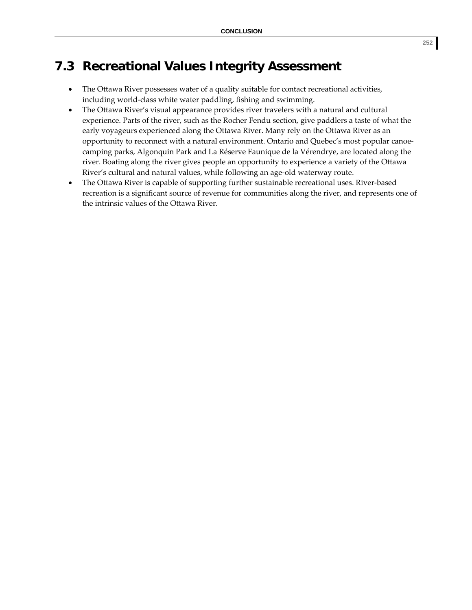## **7.3 Recreational Values Integrity Assessment**

- The Ottawa River possesses water of a quality suitable for contact recreational activities, including world‐class white water paddling, fishing and swimming.
- The Ottawa River's visual appearance provides river travelers with a natural and cultural experience. Parts of the river, such as the Rocher Fendu section, give paddlers a taste of what the early voyageurs experienced along the Ottawa River. Many rely on the Ottawa River as an opportunity to reconnect with a natural environment. Ontario and Quebec's most popular canoe‐ camping parks, Algonquin Park and La Réserve Faunique de la Vérendrye, are located along the river. Boating along the river gives people an opportunity to experience a variety of the Ottawa River's cultural and natural values, while following an age‐old waterway route.
- The Ottawa River is capable of supporting further sustainable recreational uses. River-based recreation is a significant source of revenue for communities along the river, and represents one of the intrinsic values of the Ottawa River.